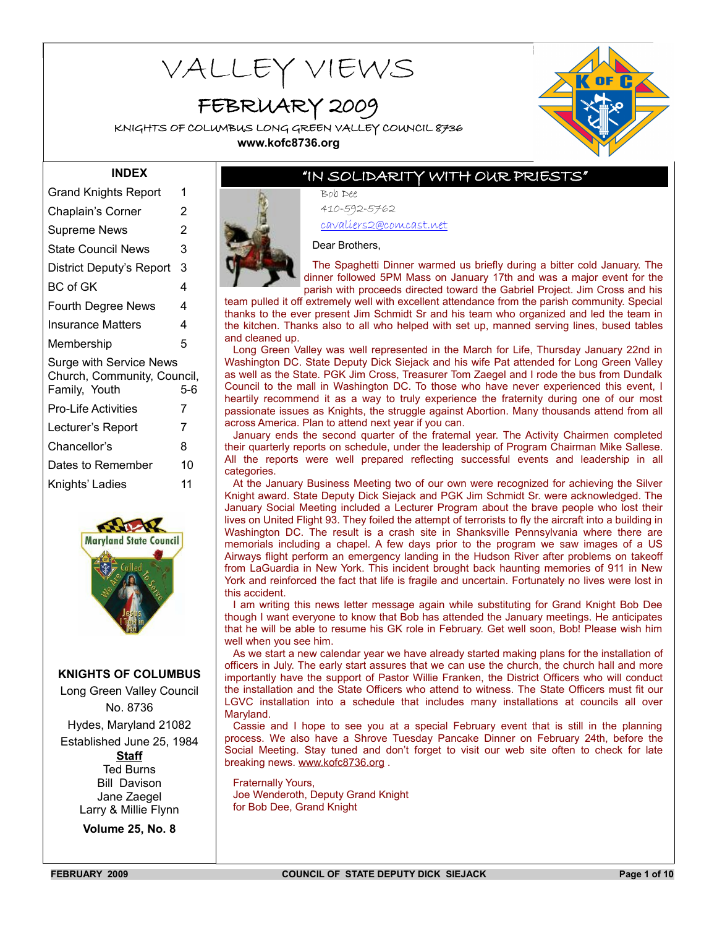# VALLEY VIEWS

## FEBRUARY 2009

KNIGHTS OF COLUMBUS LONG GREEN VALLEY COUNCIL 8736 **www.kofc8736.org**



#### **INDEX**

| <b>Grand Knights Report</b>                                                    | 1     |
|--------------------------------------------------------------------------------|-------|
| Chaplain's Corner                                                              | 2     |
| <b>Supreme News</b>                                                            | 2     |
| <b>State Council News</b>                                                      | 3     |
| District Deputy's Report                                                       | 3     |
| <b>BC</b> of GK                                                                | 4     |
| <b>Fourth Degree News</b>                                                      | 4     |
| Insurance Matters                                                              | 4     |
| Membership                                                                     | 5     |
| <b>Surge with Service News</b><br>Church, Community, Council,<br>Family, Youth | $5-6$ |
| <b>Pro-Life Activities</b>                                                     | 7     |
| Lecturer's Report                                                              | 7     |
| Chancellor's                                                                   | 8     |
| Dates to Remember                                                              | 10    |
| Knights' Ladies                                                                | 11    |
|                                                                                |       |



**KNIGHTS OF COLUMBUS**

Long Green Valley Council No. 8736 Hydes, Maryland 21082 Established June 25, 1984 **Staff** Ted Burns Bill Davison Jane Zaegel Larry & Millie Flynn

**Volume 25, No. 8**

### "IN SOLIDARITY WITH OUR PRIESTS"

Bob Dee 410-592-5762

cavaliers2@comcast.net

Dear Brothers,

The Spaghetti Dinner warmed us briefly during a bitter cold January. The dinner followed 5PM Mass on January 17th and was a major event for the parish with proceeds directed toward the Gabriel Project. Jim Cross and his

team pulled it off extremely well with excellent attendance from the parish community. Special thanks to the ever present Jim Schmidt Sr and his team who organized and led the team in the kitchen. Thanks also to all who helped with set up, manned serving lines, bused tables and cleaned up.

Long Green Valley was well represented in the March for Life, Thursday January 22nd in Washington DC. State Deputy Dick Siejack and his wife Pat attended for Long Green Valley as well as the State. PGK Jim Cross, Treasurer Tom Zaegel and I rode the bus from Dundalk Council to the mall in Washington DC. To those who have never experienced this event, I heartily recommend it as a way to truly experience the fraternity during one of our most passionate issues as Knights, the struggle against Abortion. Many thousands attend from all across America. Plan to attend next year if you can.

January ends the second quarter of the fraternal year. The Activity Chairmen completed their quarterly reports on schedule, under the leadership of Program Chairman Mike Sallese. All the reports were well prepared reflecting successful events and leadership in all categories.

At the January Business Meeting two of our own were recognized for achieving the Silver Knight award. State Deputy Dick Siejack and PGK Jim Schmidt Sr. were acknowledged. The January Social Meeting included a Lecturer Program about the brave people who lost their lives on United Flight 93. They foiled the attempt of terrorists to fly the aircraft into a building in Washington DC. The result is a crash site in Shanksville Pennsylvania where there are memorials including a chapel. A few days prior to the program we saw images of a US Airways flight perform an emergency landing in the Hudson River after problems on takeoff from LaGuardia in New York. This incident brought back haunting memories of 911 in New York and reinforced the fact that life is fragile and uncertain. Fortunately no lives were lost in this accident.

I am writing this news letter message again while substituting for Grand Knight Bob Dee though I want everyone to know that Bob has attended the January meetings. He anticipates that he will be able to resume his GK role in February. Get well soon, Bob! Please wish him well when you see him.

As we start a new calendar year we have already started making plans for the installation of officers in July. The early start assures that we can use the church, the church hall and more importantly have the support of Pastor Willie Franken, the District Officers who will conduct the installation and the State Officers who attend to witness. The State Officers must fit our LGVC installation into a schedule that includes many installations at councils all over Maryland.

Cassie and I hope to see you at a special February event that is still in the planning process. We also have a Shrove Tuesday Pancake Dinner on February 24th, before the Social Meeting. Stay tuned and don't forget to visit our web site often to check for late breaking news. www.kofc8736.org .

Fraternally Yours, Joe Wenderoth, Deputy Grand Knight for Bob Dee, Grand Knight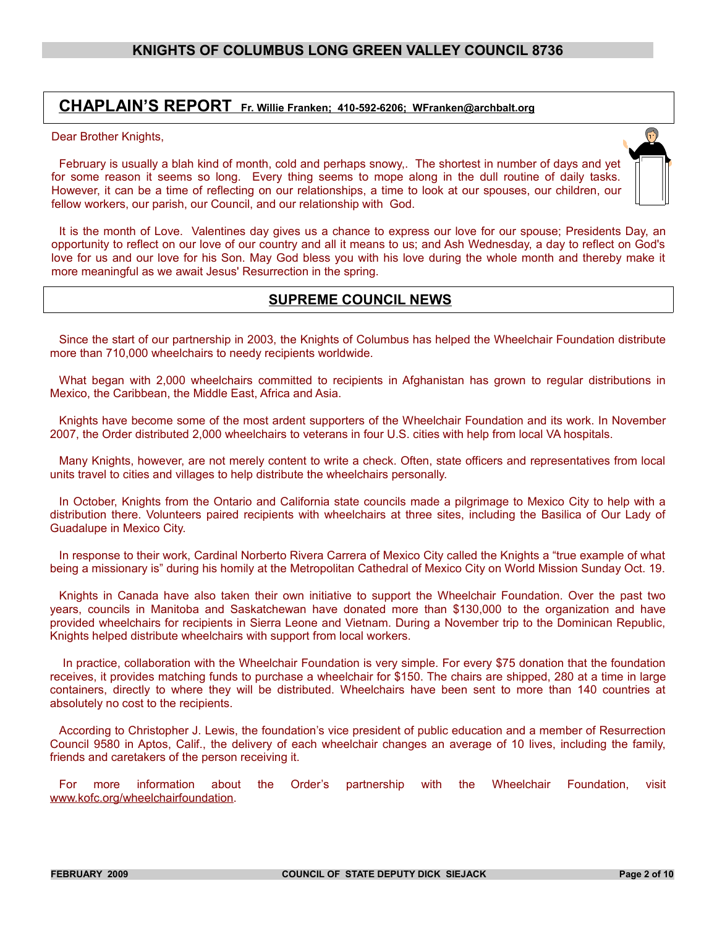#### **CHAPLAIN'S REPORT Fr. Willie Franken; 410-592-6206; WFranken@archbalt.org**

#### Dear Brother Knights,

February is usually a blah kind of month, cold and perhaps snowy,. The shortest in number of days and yet for some reason it seems so long. Every thing seems to mope along in the dull routine of daily tasks. However, it can be a time of reflecting on our relationships, a time to look at our spouses, our children, our fellow workers, our parish, our Council, and our relationship with God.



#### **SUPREME COUNCIL NEWS**

Since the start of our partnership in 2003, the Knights of Columbus has helped the Wheelchair Foundation distribute more than 710,000 wheelchairs to needy recipients worldwide.

What began with 2,000 wheelchairs committed to recipients in Afghanistan has grown to regular distributions in Mexico, the Caribbean, the Middle East, Africa and Asia.

Knights have become some of the most ardent supporters of the Wheelchair Foundation and its work. In November 2007, the Order distributed 2,000 wheelchairs to veterans in four U.S. cities with help from local VA hospitals.

Many Knights, however, are not merely content to write a check. Often, state officers and representatives from local units travel to cities and villages to help distribute the wheelchairs personally.

In October, Knights from the Ontario and California state councils made a pilgrimage to Mexico City to help with a distribution there. Volunteers paired recipients with wheelchairs at three sites, including the Basilica of Our Lady of Guadalupe in Mexico City.

In response to their work, Cardinal Norberto Rivera Carrera of Mexico City called the Knights a "true example of what being a missionary is" during his homily at the Metropolitan Cathedral of Mexico City on World Mission Sunday Oct. 19.

Knights in Canada have also taken their own initiative to support the Wheelchair Foundation. Over the past two years, councils in Manitoba and Saskatchewan have donated more than \$130,000 to the organization and have provided wheelchairs for recipients in Sierra Leone and Vietnam. During a November trip to the Dominican Republic, Knights helped distribute wheelchairs with support from local workers.

 In practice, collaboration with the Wheelchair Foundation is very simple. For every \$75 donation that the foundation receives, it provides matching funds to purchase a wheelchair for \$150. The chairs are shipped, 280 at a time in large containers, directly to where they will be distributed. Wheelchairs have been sent to more than 140 countries at absolutely no cost to the recipients.

According to Christopher J. Lewis, the foundation's vice president of public education and a member of Resurrection Council 9580 in Aptos, Calif., the delivery of each wheelchair changes an average of 10 lives, including the family, friends and caretakers of the person receiving it.

For more information about the Order's partnership with the Wheelchair Foundation, visit [www.kofc.org/wheelchairfoundation.](http://www.kofc.org/wheelchairfoundation)

 $\bigcap$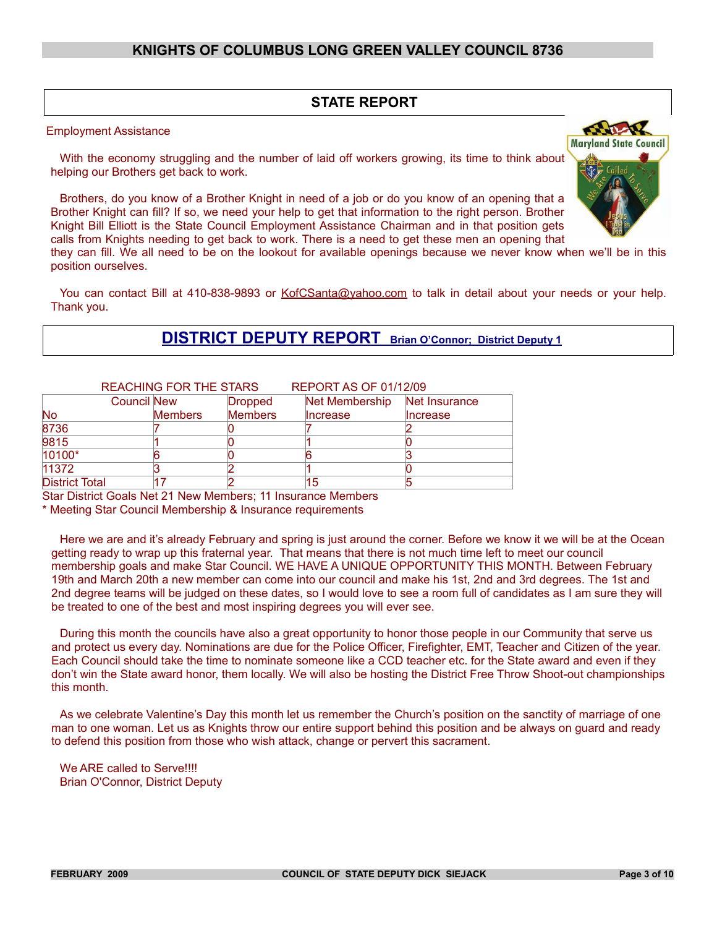#### **STATE REPORT**

Employment Assistance

With the economy struggling and the number of laid off workers growing, its time to think about helping our Brothers get back to work.

Brothers, do you know of a Brother Knight in need of a job or do you know of an opening that a Brother Knight can fill? If so, we need your help to get that information to the right person. Brother Knight Bill Elliott is the State Council Employment Assistance Chairman and in that position gets calls from Knights needing to get back to work. There is a need to get these men an opening that

they can fill. We all need to be on the lookout for available openings because we never know when we'll be in this position ourselves.

You can contact Bill at 410-838-9893 or KofCSanta@yahoo.com to talk in detail about your needs or your help. Thank you.

#### **DISTRICT DEPUTY REPORT Brian O'Connor; District Deputy 1**

|                       |                    | <b>REACHING FOR THE STARS</b> |                | <b>REPORT AS OF 01/12/09</b> |               |
|-----------------------|--------------------|-------------------------------|----------------|------------------------------|---------------|
|                       | <b>Council New</b> |                               | <b>Dropped</b> | Net Membership               | Net Insurance |
| <b>No</b>             |                    | <b>Members</b>                | <b>Members</b> | <b>Increase</b>              | Increase      |
| 8736                  |                    |                               |                |                              |               |
| 9815                  |                    |                               |                |                              |               |
| 10100*                |                    |                               |                |                              |               |
| 11372                 |                    |                               |                |                              |               |
| <b>District Total</b> |                    |                               |                | 15                           |               |

Star District Goals Net 21 New Members; 11 Insurance Members

\* Meeting Star Council Membership & Insurance requirements

Here we are and it's already February and spring is just around the corner. Before we know it we will be at the Ocean getting ready to wrap up this fraternal year. That means that there is not much time left to meet our council membership goals and make Star Council. WE HAVE A UNIQUE OPPORTUNITY THIS MONTH. Between February 19th and March 20th a new member can come into our council and make his 1st, 2nd and 3rd degrees. The 1st and 2nd degree teams will be judged on these dates, so I would love to see a room full of candidates as I am sure they will be treated to one of the best and most inspiring degrees you will ever see.

During this month the councils have also a great opportunity to honor those people in our Community that serve us and protect us every day. Nominations are due for the Police Officer, Firefighter, EMT, Teacher and Citizen of the year. Each Council should take the time to nominate someone like a CCD teacher etc. for the State award and even if they don't win the State award honor, them locally. We will also be hosting the District Free Throw Shoot-out championships this month.

As we celebrate Valentine's Day this month let us remember the Church's position on the sanctity of marriage of one man to one woman. Let us as Knights throw our entire support behind this position and be always on guard and ready to defend this position from those who wish attack, change or pervert this sacrament.

We ARE called to Serve!!!! Brian O'Connor, District Deputy

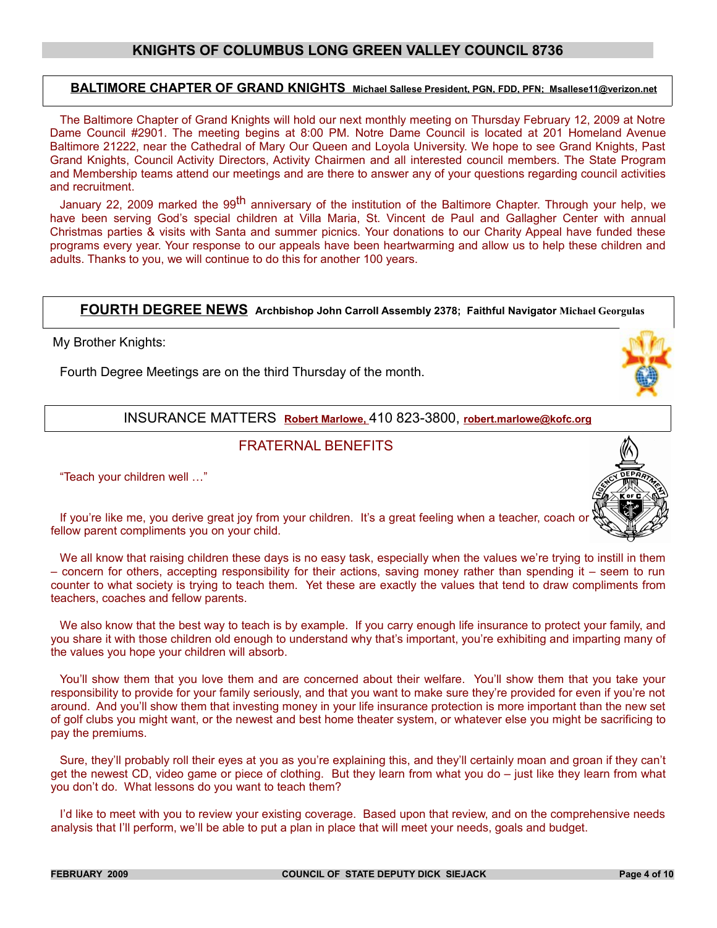#### **BALTIMORE CHAPTER OF GRAND KNIGHTS Michael Sallese President, PGN, FDD, PFN; Msallese11@verizon.net**

The Baltimore Chapter of Grand Knights will hold our next monthly meeting on Thursday February 12, 2009 at Notre Dame Council #2901. The meeting begins at 8:00 PM. Notre Dame Council is located at 201 Homeland Avenue Baltimore 21222, near the Cathedral of Mary Our Queen and Loyola University. We hope to see Grand Knights, Past Grand Knights, Council Activity Directors, Activity Chairmen and all interested council members. The State Program and Membership teams attend our meetings and are there to answer any of your questions regarding council activities and recruitment.

January 22, 2009 marked the 99<sup>th</sup> anniversary of the institution of the Baltimore Chapter. Through your help, we have been serving God's special children at Villa Maria, St. Vincent de Paul and Gallagher Center with annual Christmas parties & visits with Santa and summer picnics. Your donations to our Charity Appeal have funded these programs every year. Your response to our appeals have been heartwarming and allow us to help these children and adults. Thanks to you, we will continue to do this for another 100 years.

#### **FOURTH DEGREE NEWS Archbishop John Carroll Assembly 2378; Faithful Navigator Michael Georgulas**

My Brother Knights:

Fourth Degree Meetings are on the third Thursday of the month.

INSURANCE MATTERS **Robert Marlowe,** 410 823-3800, **robert.marlowe@kofc.org**

#### FRATERNAL BENEFITS

"Teach your children well …"



If you're like me, you derive great joy from your children. It's a great feeling when a teacher, coach or fellow parent compliments you on your child.

We all know that raising children these days is no easy task, especially when the values we're trying to instill in them – concern for others, accepting responsibility for their actions, saving money rather than spending it – seem to run counter to what society is trying to teach them. Yet these are exactly the values that tend to draw compliments from teachers, coaches and fellow parents.

We also know that the best way to teach is by example. If you carry enough life insurance to protect your family, and you share it with those children old enough to understand why that's important, you're exhibiting and imparting many of the values you hope your children will absorb.

You'll show them that you love them and are concerned about their welfare. You'll show them that you take your responsibility to provide for your family seriously, and that you want to make sure they're provided for even if you're not around. And you'll show them that investing money in your life insurance protection is more important than the new set of golf clubs you might want, or the newest and best home theater system, or whatever else you might be sacrificing to pay the premiums.

Sure, they'll probably roll their eyes at you as you're explaining this, and they'll certainly moan and groan if they can't get the newest CD, video game or piece of clothing. But they learn from what you do – just like they learn from what you don't do. What lessons do you want to teach them?

I'd like to meet with you to review your existing coverage. Based upon that review, and on the comprehensive needs analysis that I'll perform, we'll be able to put a plan in place that will meet your needs, goals and budget.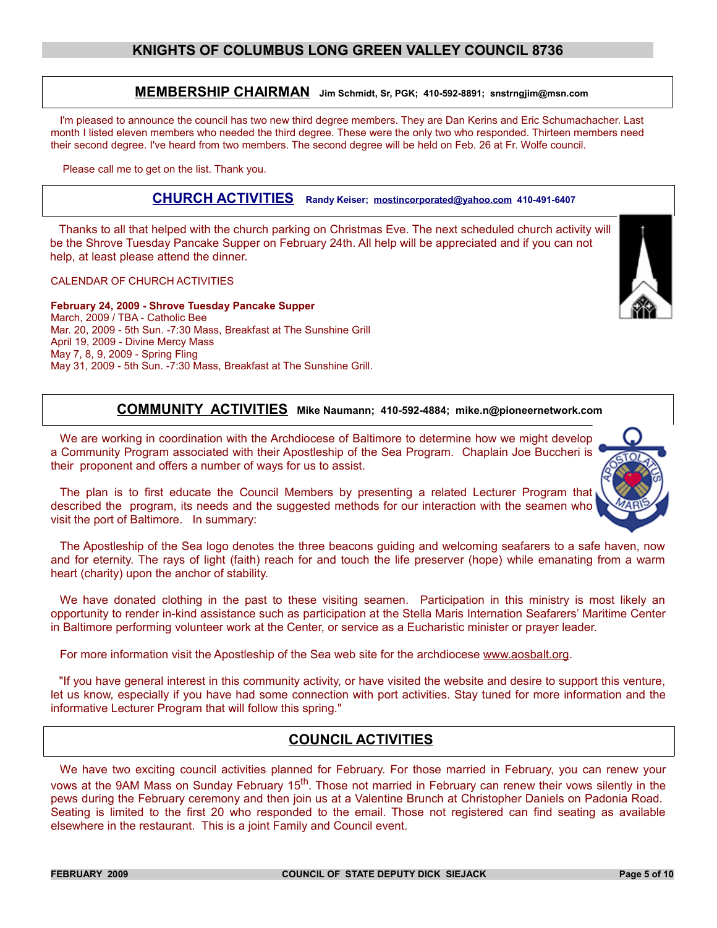#### **MEMBERSHIP CHAIRMAN Jim Schmidt, Sr, PGK; 410-592-8891; snstrngjim@msn.com**

I'm pleased to announce the council has two new third degree members. They are Dan Kerins and Eric Schumachacher. Last month I listed eleven members who needed the third degree. These were the only two who responded. Thirteen members need their second degree. I've heard from two members. The second degree will be held on Feb. 26 at Fr. Wolfe council.

Please call me to get on the list. Thank you.

#### **CHURCH ACTIVITIES Randy Keiser; [mostincorporated@yahoo.com](mailto:mostincorporated@yahoo.com) 410-491-6407**

Thanks to all that helped with the church parking on Christmas Eve. The next scheduled church activity will be the Shrove Tuesday Pancake Supper on February 24th. All help will be appreciated and if you can not help, at least please attend the dinner.

#### CALENDAR OF CHURCH ACTIVITIES

**February 24, 2009 - Shrove Tuesday Pancake Supper** March, 2009 / TBA - Catholic Bee Mar. 20, 2009 - 5th Sun. -7:30 Mass, Breakfast at The Sunshine Grill April 19, 2009 - Divine Mercy Mass May 7, 8, 9, 2009 - Spring Fling May 31, 2009 - 5th Sun. -7:30 Mass, Breakfast at The Sunshine Grill.

#### **COMMUNITY ACTIVITIES Mike Naumann; 410-592-4884; mike.n@pioneernetwork.com**

We are working in coordination with the Archdiocese of Baltimore to determine how we might develop a Community Program associated with their Apostleship of the Sea Program. Chaplain Joe Buccheri is their proponent and offers a number of ways for us to assist.

The plan is to first educate the Council Members by presenting a related Lecturer Program that described the program, its needs and the suggested methods for our interaction with the seamen who visit the port of Baltimore. In summary:

The Apostleship of the Sea logo denotes the three beacons guiding and welcoming seafarers to a safe haven, now and for eternity. The rays of light (faith) reach for and touch the life preserver (hope) while emanating from a warm heart (charity) upon the anchor of stability.

We have donated clothing in the past to these visiting seamen. Participation in this ministry is most likely an opportunity to render in-kind assistance such as participation at the Stella Maris Internation Seafarers' Maritime Center in Baltimore performing volunteer work at the Center, or service as a Eucharistic minister or prayer leader.

For more information visit the Apostleship of the Sea web site for the archdiocese [www.aosbalt.org.](http://www.aosbalt.org/)

"If you have general interest in this community activity, or have visited the website and desire to support this venture, let us know, especially if you have had some connection with port activities. Stay tuned for more information and the informative Lecturer Program that will follow this spring."

#### **COUNCIL ACTIVITIES**

We have two exciting council activities planned for February. For those married in February, you can renew your vows at the 9AM Mass on Sunday February 15<sup>th</sup>. Those not married in February can renew their vows silently in the pews during the February ceremony and then join us at a Valentine Brunch at Christopher Daniels on Padonia Road. Seating is limited to the first 20 who responded to the email. Those not registered can find seating as available elsewhere in the restaurant. This is a joint Family and Council event.



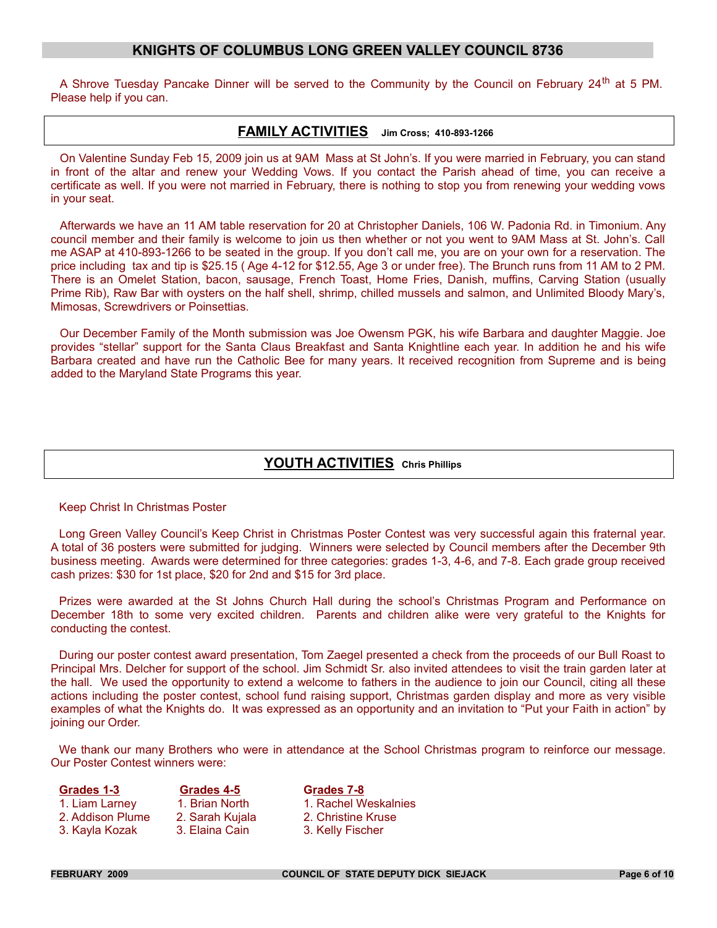A Shrove Tuesday Pancake Dinner will be served to the Community by the Council on February 24<sup>th</sup> at 5 PM. Please help if you can.

#### **FAMILY ACTIVITIES Jim Cross; 410-893-1266**

On Valentine Sunday Feb 15, 2009 join us at 9AM Mass at St John's. If you were married in February, you can stand in front of the altar and renew your Wedding Vows. If you contact the Parish ahead of time, you can receive a certificate as well. If you were not married in February, there is nothing to stop you from renewing your wedding vows in your seat.

Afterwards we have an 11 AM table reservation for 20 at Christopher Daniels, 106 W. Padonia Rd. in Timonium. Any council member and their family is welcome to join us then whether or not you went to 9AM Mass at St. John's. Call me ASAP at 410-893-1266 to be seated in the group. If you don't call me, you are on your own for a reservation. The price including tax and tip is \$25.15 ( Age 4-12 for \$12.55, Age 3 or under free). The Brunch runs from 11 AM to 2 PM. There is an Omelet Station, bacon, sausage, French Toast, Home Fries, Danish, muffins, Carving Station (usually Prime Rib), Raw Bar with oysters on the half shell, shrimp, chilled mussels and salmon, and Unlimited Bloody Mary's, Mimosas, Screwdrivers or Poinsettias.

Our December Family of the Month submission was Joe Owensm PGK, his wife Barbara and daughter Maggie. Joe provides "stellar" support for the Santa Claus Breakfast and Santa Knightline each year. In addition he and his wife Barbara created and have run the Catholic Bee for many years. It received recognition from Supreme and is being added to the Maryland State Programs this year.

#### **YOUTH ACTIVITIES Chris Phillips**

#### Keep Christ In Christmas Poster

Long Green Valley Council's Keep Christ in Christmas Poster Contest was very successful again this fraternal year. A total of 36 posters were submitted for judging. Winners were selected by Council members after the December 9th business meeting. Awards were determined for three categories: grades 1-3, 4-6, and 7-8. Each grade group received cash prizes: \$30 for 1st place, \$20 for 2nd and \$15 for 3rd place.

Prizes were awarded at the St Johns Church Hall during the school's Christmas Program and Performance on December 18th to some very excited children. Parents and children alike were very grateful to the Knights for conducting the contest.

During our poster contest award presentation, Tom Zaegel presented a check from the proceeds of our Bull Roast to Principal Mrs. Delcher for support of the school. Jim Schmidt Sr. also invited attendees to visit the train garden later at the hall. We used the opportunity to extend a welcome to fathers in the audience to join our Council, citing all these actions including the poster contest, school fund raising support, Christmas garden display and more as very visible examples of what the Knights do. It was expressed as an opportunity and an invitation to "Put your Faith in action" by joining our Order.

We thank our many Brothers who were in attendance at the School Christmas program to reinforce our message. Our Poster Contest winners were:

| 1. Liam Larney   |
|------------------|
| 2. Addison Plume |
| .3. Kavla Kozak  |

**Grades 1-3 Grades 4-5 Grades 7-8** 1. Brian North 1. Rachel Weskalnies 2. Sarah Kujala 2. Christine Kruse 3. Kayla Kozak 3. Elaina Cain 3. Kelly Fischer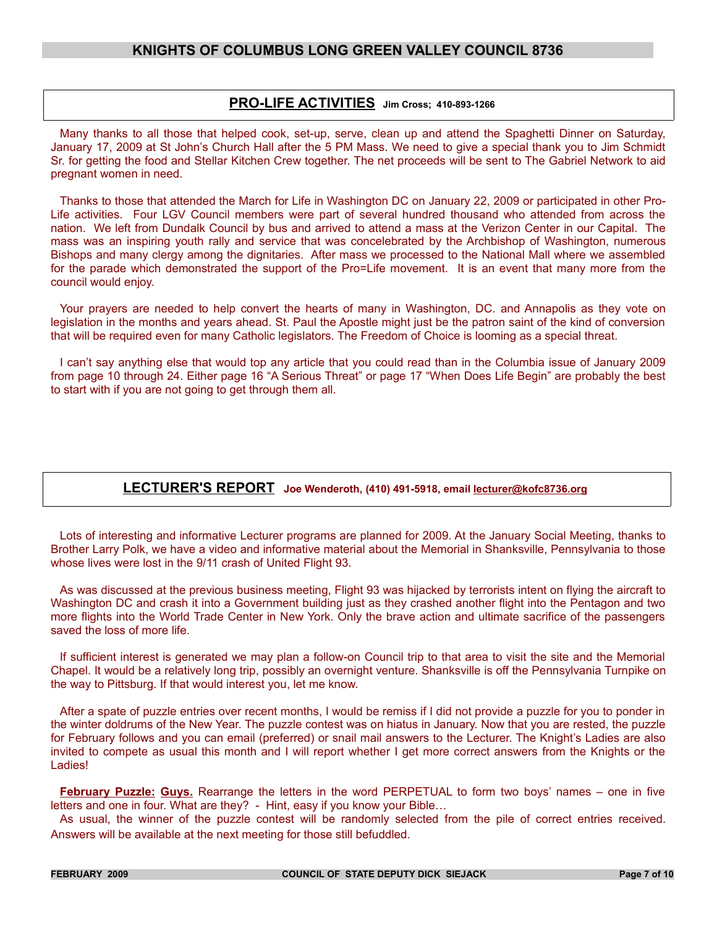#### **PRO-LIFE ACTIVITIES Jim Cross; 410-893-1266**

Many thanks to all those that helped cook, set-up, serve, clean up and attend the Spaghetti Dinner on Saturday, January 17, 2009 at St John's Church Hall after the 5 PM Mass. We need to give a special thank you to Jim Schmidt Sr. for getting the food and Stellar Kitchen Crew together. The net proceeds will be sent to The Gabriel Network to aid pregnant women in need.

Thanks to those that attended the March for Life in Washington DC on January 22, 2009 or participated in other Pro-Life activities. Four LGV Council members were part of several hundred thousand who attended from across the nation. We left from Dundalk Council by bus and arrived to attend a mass at the Verizon Center in our Capital. The mass was an inspiring youth rally and service that was concelebrated by the Archbishop of Washington, numerous Bishops and many clergy among the dignitaries. After mass we processed to the National Mall where we assembled for the parade which demonstrated the support of the Pro=Life movement. It is an event that many more from the council would enjoy.

Your prayers are needed to help convert the hearts of many in Washington, DC. and Annapolis as they vote on legislation in the months and years ahead. St. Paul the Apostle might just be the patron saint of the kind of conversion that will be required even for many Catholic legislators. The Freedom of Choice is looming as a special threat.

I can't say anything else that would top any article that you could read than in the Columbia issue of January 2009 from page 10 through 24. Either page 16 "A Serious Threat" or page 17 "When Does Life Begin" are probably the best to start with if you are not going to get through them all.

#### **LECTURER'S REPORT Joe Wenderoth, (410) 491-5918, email lecturer@kofc8736.org**

Lots of interesting and informative Lecturer programs are planned for 2009. At the January Social Meeting, thanks to Brother Larry Polk, we have a video and informative material about the Memorial in Shanksville, Pennsylvania to those whose lives were lost in the 9/11 crash of United Flight 93.

As was discussed at the previous business meeting, Flight 93 was hijacked by terrorists intent on flying the aircraft to Washington DC and crash it into a Government building just as they crashed another flight into the Pentagon and two more flights into the World Trade Center in New York. Only the brave action and ultimate sacrifice of the passengers saved the loss of more life.

If sufficient interest is generated we may plan a follow-on Council trip to that area to visit the site and the Memorial Chapel. It would be a relatively long trip, possibly an overnight venture. Shanksville is off the Pennsylvania Turnpike on the way to Pittsburg. If that would interest you, let me know.

After a spate of puzzle entries over recent months, I would be remiss if I did not provide a puzzle for you to ponder in the winter doldrums of the New Year. The puzzle contest was on hiatus in January. Now that you are rested, the puzzle for February follows and you can email (preferred) or snail mail answers to the Lecturer. The Knight's Ladies are also invited to compete as usual this month and I will report whether I get more correct answers from the Knights or the Ladies!

**February Puzzle: Guys.** Rearrange the letters in the word PERPETUAL to form two boys' names – one in five letters and one in four. What are they? - Hint, easy if you know your Bible...

As usual, the winner of the puzzle contest will be randomly selected from the pile of correct entries received. Answers will be available at the next meeting for those still befuddled.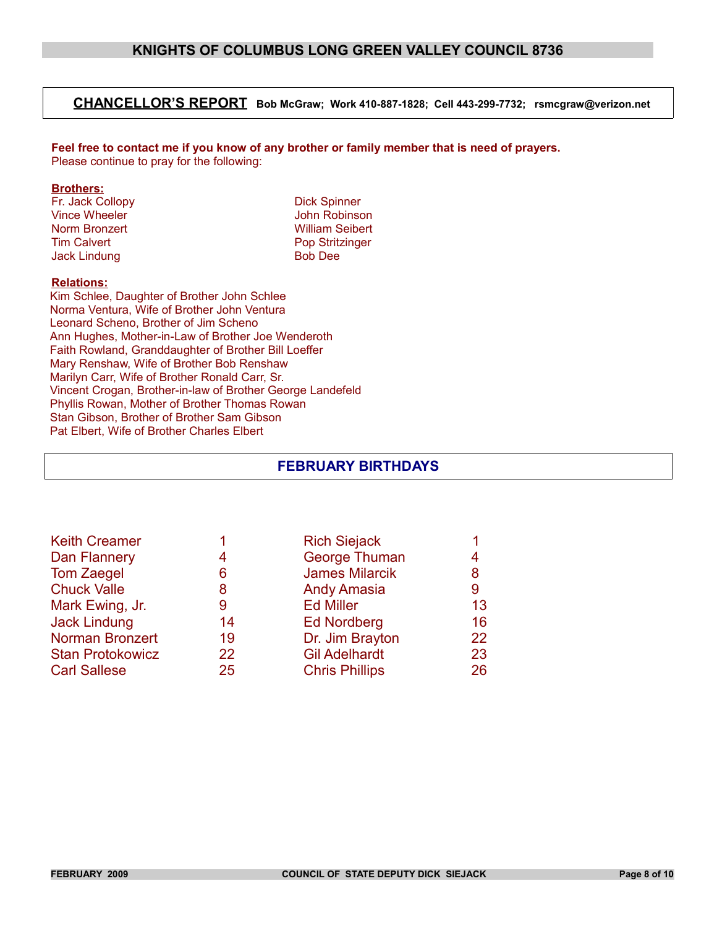#### **CHANCELLOR'S REPORT Bob McGraw; Work 410-887-1828; Cell 443-299-7732; rsmcgraw@verizon.net**

**Feel free to contact me if you know of any brother or family member that is need of prayers.** Please continue to pray for the following:

#### **Brothers:**

Fr. Jack Collopy Dick Spinner Vince Wheeler **Vince Wheeler** John Robinson Norm Bronzert William Seibert Tim Calvert Pop Stritzinger<br>
Jack Lindung Bob Dee Jack Lindung

#### **Relations:**

Kim Schlee, Daughter of Brother John Schlee Norma Ventura, Wife of Brother John Ventura Leonard Scheno, Brother of Jim Scheno Ann Hughes, Mother-in-Law of Brother Joe Wenderoth Faith Rowland, Granddaughter of Brother Bill Loeffer Mary Renshaw, Wife of Brother Bob Renshaw Marilyn Carr, Wife of Brother Ronald Carr, Sr. Vincent Crogan, Brother-in-law of Brother George Landefeld Phyllis Rowan, Mother of Brother Thomas Rowan Stan Gibson, Brother of Brother Sam Gibson Pat Elbert, Wife of Brother Charles Elbert

#### **FEBRUARY BIRTHDAYS**

|    | <b>Rich Siejack</b>   |    |
|----|-----------------------|----|
| 4  | George Thuman         | 4  |
| 6  | <b>James Milarcik</b> | 8  |
| 8  | <b>Andy Amasia</b>    | 9  |
| 9  | <b>Ed Miller</b>      | 13 |
| 14 | <b>Ed Nordberg</b>    | 16 |
| 19 | Dr. Jim Brayton       | 22 |
| 22 | <b>Gil Adelhardt</b>  | 23 |
| 25 | <b>Chris Phillips</b> | 26 |
|    |                       |    |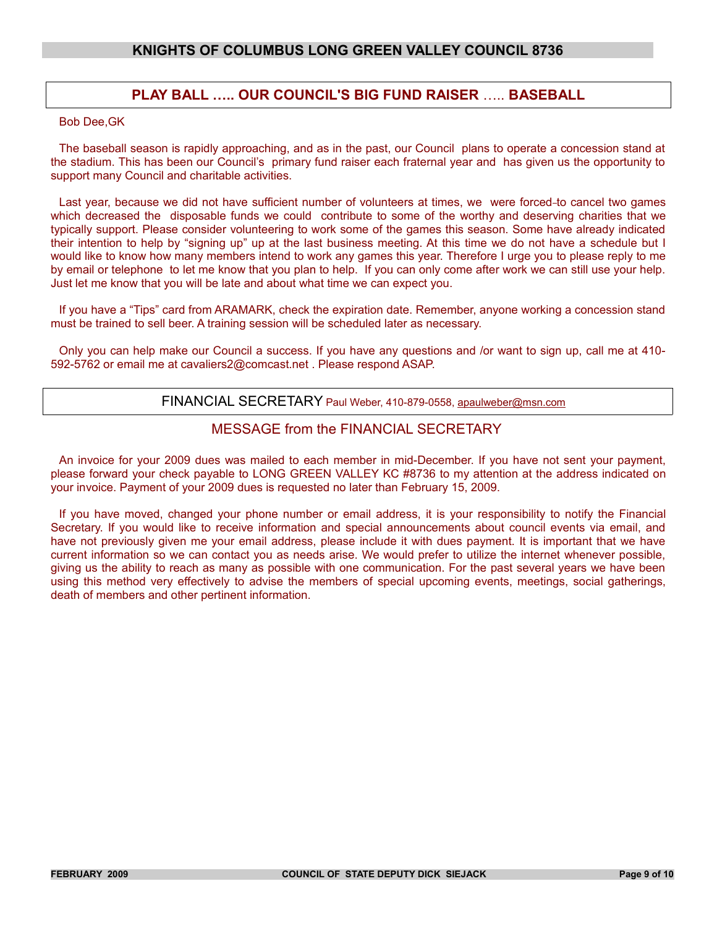#### **PLAY BALL ….. OUR COUNCIL'S BIG FUND RAISER** ….. **BASEBALL**

#### Bob Dee,GK

The baseball season is rapidly approaching, and as in the past, our Council plans to operate a concession stand at the stadium. This has been our Council's primary fund raiser each fraternal year and has given us the opportunity to support many Council and charitable activities.

Last year, because we did not have sufficient number of volunteers at times, we were forced-to cancel two games which decreased the disposable funds we could contribute to some of the worthy and deserving charities that we typically support. Please consider volunteering to work some of the games this season. Some have already indicated their intention to help by "signing up" up at the last business meeting. At this time we do not have a schedule but I would like to know how many members intend to work any games this year. Therefore I urge you to please reply to me by email or telephone to let me know that you plan to help. If you can only come after work we can still use your help. Just let me know that you will be late and about what time we can expect you.

If you have a "Tips" card from ARAMARK, check the expiration date. Remember, anyone working a concession stand must be trained to sell beer. A training session will be scheduled later as necessary.

Only you can help make our Council a success. If you have any questions and /or want to sign up, call me at 410- 592-5762 or email me at cavaliers2@comcast.net . Please respond ASAP.

#### FINANCIAL SECRETARY Paul Weber, 410-879-0558, apaulweber@msn.com

#### MESSAGE from the FINANCIAL SECRETARY

An invoice for your 2009 dues was mailed to each member in mid-December. If you have not sent your payment, please forward your check payable to LONG GREEN VALLEY KC #8736 to my attention at the address indicated on your invoice. Payment of your 2009 dues is requested no later than February 15, 2009.

If you have moved, changed your phone number or email address, it is your responsibility to notify the Financial Secretary. If you would like to receive information and special announcements about council events via email, and have not previously given me your email address, please include it with dues payment. It is important that we have current information so we can contact you as needs arise. We would prefer to utilize the internet whenever possible, giving us the ability to reach as many as possible with one communication. For the past several years we have been using this method very effectively to advise the members of special upcoming events, meetings, social gatherings, death of members and other pertinent information.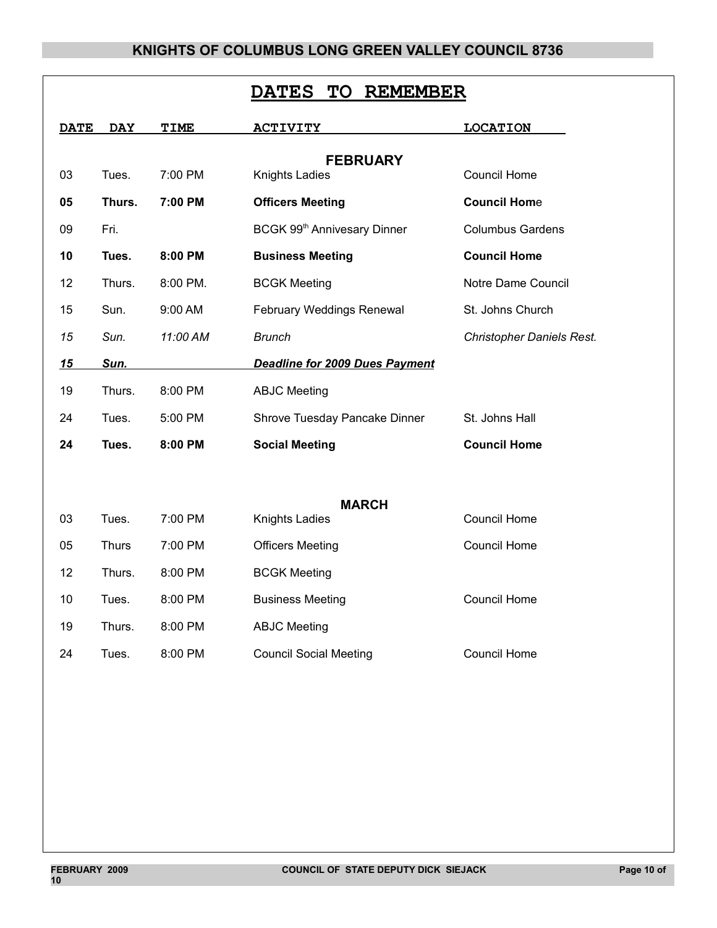| <b>TO</b><br><b>REMEMBER</b><br><b>DATES</b> |              |          |                                         |                                  |  |
|----------------------------------------------|--------------|----------|-----------------------------------------|----------------------------------|--|
| <b>DATE</b>                                  | <b>DAY</b>   | TIME     | <b>ACTIVITY</b>                         | <b>LOCATION</b>                  |  |
|                                              |              |          | <b>FEBRUARY</b>                         |                                  |  |
| 03                                           | Tues.        | 7:00 PM  | <b>Knights Ladies</b>                   | <b>Council Home</b>              |  |
| 05                                           | Thurs.       | 7:00 PM  | <b>Officers Meeting</b>                 | <b>Council Home</b>              |  |
| 09                                           | Fri.         |          | BCGK 99 <sup>th</sup> Annivesary Dinner | <b>Columbus Gardens</b>          |  |
| 10                                           | Tues.        | 8:00 PM  | <b>Business Meeting</b>                 | <b>Council Home</b>              |  |
| 12                                           | Thurs.       | 8:00 PM. | <b>BCGK Meeting</b>                     | Notre Dame Council               |  |
| 15                                           | Sun.         | 9:00 AM  | February Weddings Renewal               | St. Johns Church                 |  |
| 15                                           | Sun.         | 11:00 AM | <b>Brunch</b>                           | <b>Christopher Daniels Rest.</b> |  |
| 15                                           | Sun.         |          | <b>Deadline for 2009 Dues Payment</b>   |                                  |  |
| 19                                           | Thurs.       | 8:00 PM  | <b>ABJC Meeting</b>                     |                                  |  |
| 24                                           | Tues.        | 5:00 PM  | Shrove Tuesday Pancake Dinner           | St. Johns Hall                   |  |
| 24                                           | Tues.        | 8:00 PM  | <b>Social Meeting</b>                   | <b>Council Home</b>              |  |
|                                              |              |          |                                         |                                  |  |
|                                              |              |          | <b>MARCH</b>                            |                                  |  |
| 03                                           | Tues.        | 7:00 PM  | <b>Knights Ladies</b>                   | <b>Council Home</b>              |  |
| 05                                           | <b>Thurs</b> | 7:00 PM  | <b>Officers Meeting</b>                 | Council Home                     |  |
| 12                                           | Thurs.       | 8:00 PM  | <b>BCGK Meeting</b>                     |                                  |  |
| 10                                           | Tues.        | 8:00 PM  | <b>Business Meeting</b>                 | <b>Council Home</b>              |  |
| 19                                           | Thurs.       | 8:00 PM  | <b>ABJC Meeting</b>                     |                                  |  |
| 24                                           | Tues.        | 8:00 PM  | <b>Council Social Meeting</b>           | <b>Council Home</b>              |  |